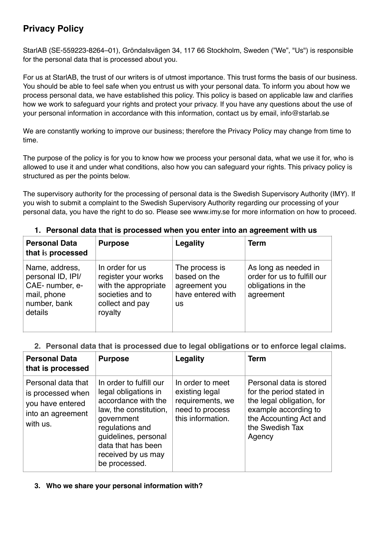# **Privacy Policy**

StarlAB (SE-559223-8264–01), Gröndalsvägen 34, 117 66 Stockholm, Sweden ("We", "Us") is responsible for the personal data that is processed about you.

For us at StarlAB, the trust of our writers is of utmost importance. This trust forms the basis of our business. You should be able to feel safe when you entrust us with your personal data. To inform you about how we process personal data, we have established this policy. This policy is based on applicable law and clarifies how we work to safeguard your rights and protect your privacy. If you have any questions about the use of your personal information in accordance with this information, contact us by email, info@starlab.se

We are constantly working to improve our business; therefore the Privacy Policy may change from time to time.

The purpose of the policy is for you to know how we process your personal data, what we use it for, who is allowed to use it and under what conditions, also how you can safeguard your rights. This privacy policy is structured as per the points below.

The supervisory authority for the processing of personal data is the Swedish Supervisory Authority (IMY). If you wish to submit a complaint to the Swedish Supervisory Authority regarding our processing of your personal data, you have the right to do so. Please see www.imy.se for more information on how to proceed.

| <b>Personal Data</b><br>that is processed                                                        | <b>Purpose</b>                                                                                                   | <b>Legality</b>                                                                   | <b>Term</b>                                                                            |
|--------------------------------------------------------------------------------------------------|------------------------------------------------------------------------------------------------------------------|-----------------------------------------------------------------------------------|----------------------------------------------------------------------------------------|
| Name, address,<br>personal ID, IPI/<br>CAE- number, e-<br>mail, phone<br>number, bank<br>details | In order for us<br>register your works<br>with the appropriate<br>societies and to<br>collect and pay<br>royalty | The process is<br>based on the<br>agreement you<br>have entered with<br><b>us</b> | As long as needed in<br>order for us to fulfill our<br>obligations in the<br>agreement |

# **1. Personal data that is processed when you enter into an agreement with us**

# **2. Personal data that is processed due to legal obligations or to enforce legal claims.**

| <b>Personal Data</b><br>that is processed                                                    | <b>Purpose</b>                                                                                                                                                                                                         | Legality                                                                                       | <b>Term</b>                                                                                                                                                     |
|----------------------------------------------------------------------------------------------|------------------------------------------------------------------------------------------------------------------------------------------------------------------------------------------------------------------------|------------------------------------------------------------------------------------------------|-----------------------------------------------------------------------------------------------------------------------------------------------------------------|
| Personal data that<br>is processed when<br>you have entered<br>into an agreement<br>with us. | In order to fulfill our<br>legal obligations in<br>accordance with the<br>law, the constitution,<br>qovernment<br>regulations and<br>guidelines, personal<br>data that has been<br>received by us may<br>be processed. | In order to meet<br>existing legal<br>requirements, we<br>need to process<br>this information. | Personal data is stored<br>for the period stated in<br>the legal obligation, for<br>example according to<br>the Accounting Act and<br>the Swedish Tax<br>Agency |

**3. Who we share your personal information with?**